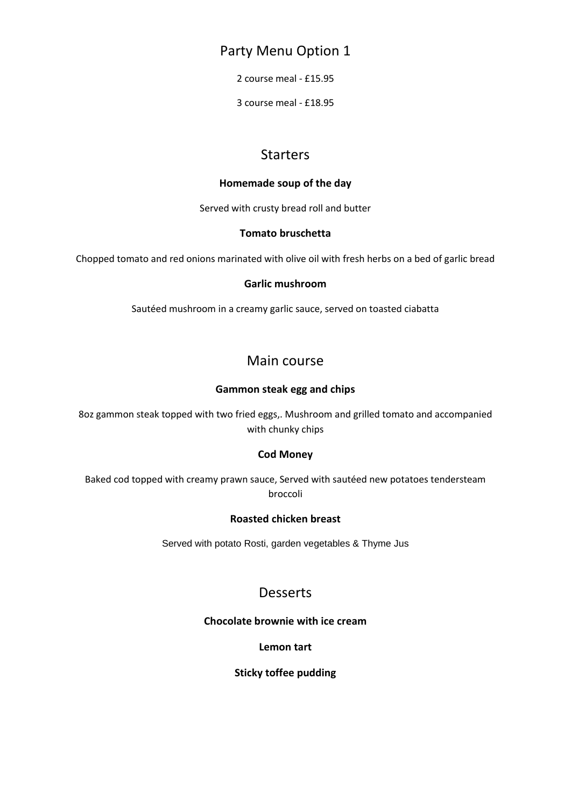## Party Menu Option 1

2 course meal - £15.95

3 course meal - £18.95

# Starters

#### **Homemade soup of the day**

Served with crusty bread roll and butter

#### **Tomato bruschetta**

Chopped tomato and red onions marinated with olive oil with fresh herbs on a bed of garlic bread

#### **Garlic mushroom**

Sautéed mushroom in a creamy garlic sauce, served on toasted ciabatta

# Main course

#### **Gammon steak egg and chips**

8oz gammon steak topped with two fried eggs,. Mushroom and grilled tomato and accompanied with chunky chips

#### **Cod Money**

Baked cod topped with creamy prawn sauce, Served with sautéed new potatoes tendersteam broccoli

#### **Roasted chicken breast**

Served with potato Rosti, garden vegetables & Thyme Jus

# **Desserts**

#### **Chocolate brownie with ice cream**

**Lemon tart**

#### **Sticky toffee pudding**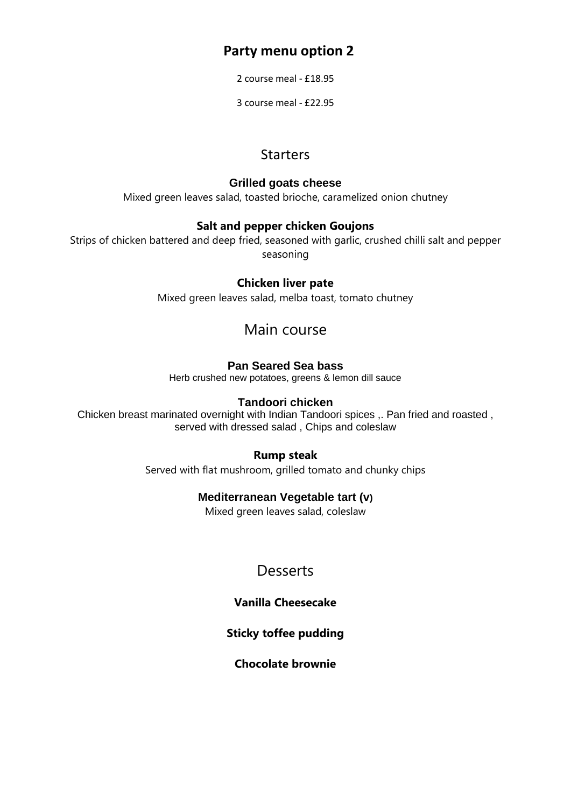# **Party menu option 2**

2 course meal - £18.95

3 course meal - £22.95

# **Starters**

## **Grilled goats cheese**

Mixed green leaves salad, toasted brioche, caramelized onion chutney

## **Salt and pepper chicken Goujons**

Strips of chicken battered and deep fried, seasoned with garlic, crushed chilli salt and pepper seasoning

## **Chicken liver pate**

Mixed green leaves salad, melba toast, tomato chutney

# Main course

## **Pan Seared Sea bass**

Herb crushed new potatoes, greens & lemon dill sauce

## **Tandoori chicken**

Chicken breast marinated overnight with Indian Tandoori spices ,. Pan fried and roasted , served with dressed salad , Chips and coleslaw

## **Rump steak**

Served with flat mushroom, grilled tomato and chunky chips

## **Mediterranean Vegetable tart (v)**

Mixed green leaves salad, coleslaw

# **Desserts**

## **Vanilla Cheesecake**

## **Sticky toffee pudding**

**Chocolate brownie**